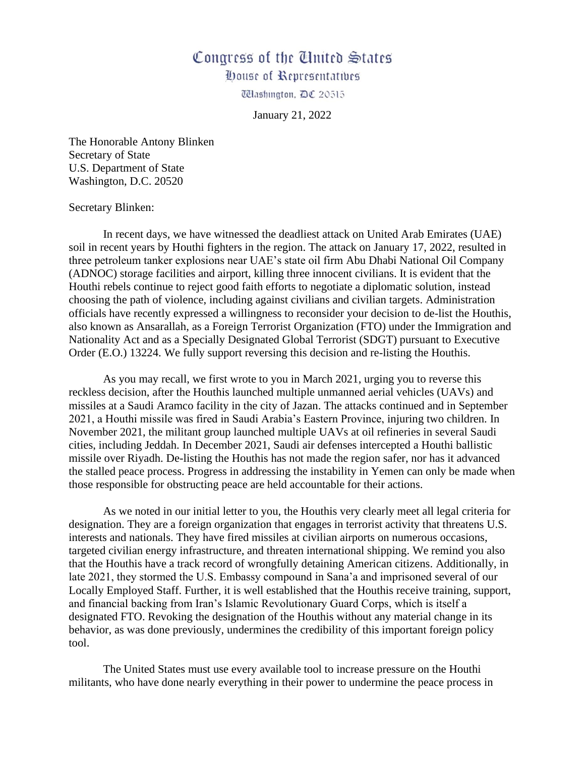## Congress of the United States

**Oouse of Representatives** 

**Washington, DC 20515** 

January 21, 2022

The Honorable Antony Blinken Secretary of State U.S. Department of State Washington, D.C. 20520

## Secretary Blinken:

In recent days, we have witnessed the deadliest attack on United Arab Emirates (UAE) soil in recent years by Houthi fighters in the region. The attack on January 17, 2022, resulted in three petroleum tanker explosions near UAE's state oil firm Abu Dhabi National Oil Company (ADNOC) storage facilities and airport, killing three innocent civilians. It is evident that the Houthi rebels continue to reject good faith efforts to negotiate a diplomatic solution, instead choosing the path of violence, including against civilians and civilian targets. Administration officials have recently expressed a willingness to reconsider your decision to de-list the Houthis, also known as Ansarallah, as a Foreign Terrorist Organization (FTO) under the Immigration and Nationality Act and as a Specially Designated Global Terrorist (SDGT) pursuant to Executive Order (E.O.) 13224. We fully support reversing this decision and re-listing the Houthis.

As you may recall, we first wrote to you in March 2021, urging you to reverse this reckless decision, after the Houthis launched multiple unmanned aerial vehicles (UAVs) and missiles at a Saudi Aramco facility in the city of Jazan. The attacks continued and in September 2021, a Houthi missile was fired in Saudi Arabia's Eastern Province, injuring two children. In November 2021, the militant group launched multiple UAVs at oil refineries in several Saudi cities, including Jeddah. In December 2021, Saudi air defenses intercepted a Houthi ballistic missile over Riyadh. De-listing the Houthis has not made the region safer, nor has it advanced the stalled peace process. Progress in addressing the instability in Yemen can only be made when those responsible for obstructing peace are held accountable for their actions.

As we noted in our initial letter to you, the Houthis very clearly meet all legal criteria for designation. They are a foreign organization that engages in terrorist activity that threatens U.S. interests and nationals. They have fired missiles at civilian airports on numerous occasions, targeted civilian energy infrastructure, and threaten international shipping. We remind you also that the Houthis have a track record of wrongfully detaining American citizens. Additionally, in late 2021, they stormed the U.S. Embassy compound in Sana'a and imprisoned several of our Locally Employed Staff. Further, it is well established that the Houthis receive training, support, and financial backing from Iran's Islamic Revolutionary Guard Corps, which is itself a designated FTO. Revoking the designation of the Houthis without any material change in its behavior, as was done previously, undermines the credibility of this important foreign policy tool.

The United States must use every available tool to increase pressure on the Houthi militants, who have done nearly everything in their power to undermine the peace process in